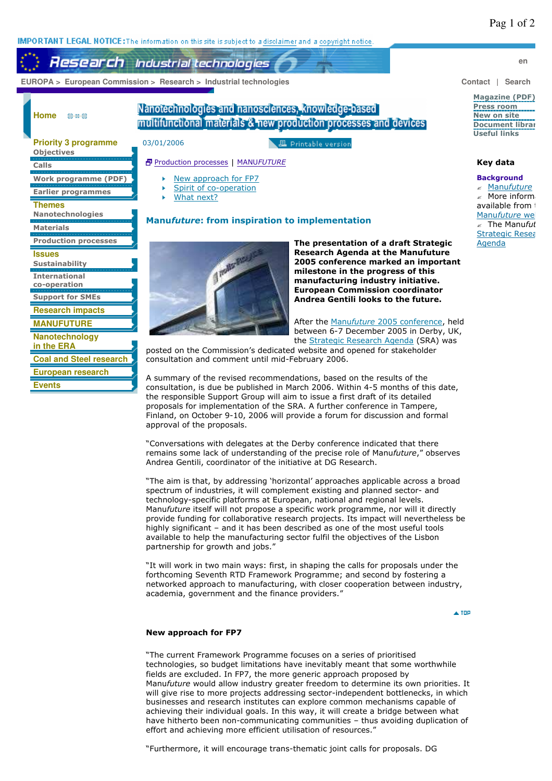**IMPORTANT LEGAL NOTICE:** The information on this site is subject to a disclaimer and a copyright notice.

**Research** Industrial technologies

 **EUROPA > European Commission > Research > Industrial technologies Contact | Search** 

**Home** 03-48-00

**Objectives Calls**

**Themes**

**Materials**

**Issues Sustainability International co-operation Support for SMEs Research impacts MANUFUTURE Nanotechnology in the ERA**

**Events**

**Priority 3 programme**

**Work programme (PDF) Earlier programmes**

**Nanotechnologies**

**Production processes**

**Coal and Steel research European research**

# Nanotechnologies and nanosciences, knowledge-based multifunctional materials & new production processes and devices

**且 Printable version** 

# 03/01/2006

### Production processes | MANU*FUTURE*

- New approach for FP7
- Spirit of co-operation
- What next? k

# **Manu***future***: from inspiration to implementation**



**The presentation of a draft Strategic Research Agenda at the Manufuture 2005 conference marked an important milestone in the progress of this manufacturing industry initiative. European Commission coordinator Andrea Gentili looks to the future.**

After the Manu*future* 2005 conference, held between 6-7 December 2005 in Derby, UK, the Strategic Research Agenda (SRA) was

posted on the Commission's dedicated website and opened for stakeholder consultation and comment until mid-February 2006.

A summary of the revised recommendations, based on the results of the consultation, is due be published in March 2006. Within 4-5 months of this date, the responsible Support Group will aim to issue a first draft of its detailed proposals for implementation of the SRA. A further conference in Tampere, Finland, on October 9-10, 2006 will provide a forum for discussion and formal approval of the proposals.

"Conversations with delegates at the Derby conference indicated that there remains some lack of understanding of the precise role of Manu*future*," observes Andrea Gentili, coordinator of the initiative at DG Research.

"The aim is that, by addressing 'horizontal' approaches applicable across a broad spectrum of industries, it will complement existing and planned sector- and technology-specific platforms at European, national and regional levels. Manu*future* itself will not propose a specific work programme, nor will it directly provide funding for collaborative research projects. Its impact will nevertheless be highly significant – and it has been described as one of the most useful tools available to help the manufacturing sector fulfil the objectives of the Lisbon partnership for growth and jobs."

"It will work in two main ways: first, in shaping the calls for proposals under the forthcoming Seventh RTD Framework Programme; and second by fostering a networked approach to manufacturing, with closer cooperation between industry, academia, government and the finance providers."

 $\triangle$  TOP

#### **New approach for FP7**

"The current Framework Programme focuses on a series of prioritised technologies, so budget limitations have inevitably meant that some worthwhile fields are excluded. In FP7, the more generic approach proposed by Manu*future* would allow industry greater freedom to determine its own priorities. It will give rise to more projects addressing sector-independent bottlenecks, in which businesses and research institutes can explore common mechanisms capable of achieving their individual goals. In this way, it will create a bridge between what have hitherto been non-communicating communities – thus avoiding duplication of effort and achieving more efficient utilisation of resources.'

"Furthermore, it will encourage trans-thematic joint calls for proposals. DG

**en**

#### **Magazine (PDF) Press room New on site Document librar Useful links**

## **Key data**

### **Background**

? Manu*future*  $\mathbb Z$  More inform available from the Manufuture we The Manufut Strategic Resea Agenda